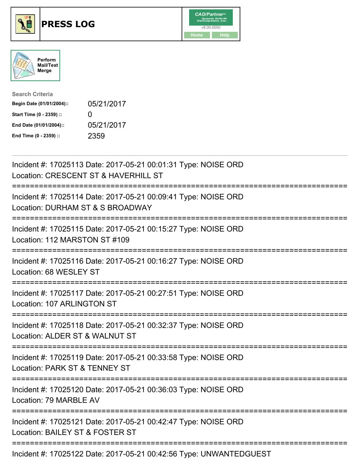





| <b>Search Criteria</b>    |              |
|---------------------------|--------------|
| Begin Date (01/01/2004):: | 05/21/2017   |
| Start Time (0 - 2359) ::  | $\mathbf{I}$ |
| End Date (01/01/2004)::   | 05/21/2017   |
| End Time (0 - 2359) ::    | 2359         |

| Incident #: 17025113 Date: 2017-05-21 00:01:31 Type: NOISE ORD<br>Location: CRESCENT ST & HAVERHILL ST                       |
|------------------------------------------------------------------------------------------------------------------------------|
| Incident #: 17025114 Date: 2017-05-21 00:09:41 Type: NOISE ORD<br>Location: DURHAM ST & S BROADWAY                           |
| Incident #: 17025115 Date: 2017-05-21 00:15:27 Type: NOISE ORD<br>Location: 112 MARSTON ST #109                              |
| Incident #: 17025116 Date: 2017-05-21 00:16:27 Type: NOISE ORD<br>Location: 68 WESLEY ST                                     |
| Incident #: 17025117 Date: 2017-05-21 00:27:51 Type: NOISE ORD<br>Location: 107 ARLINGTON ST                                 |
| Incident #: 17025118 Date: 2017-05-21 00:32:37 Type: NOISE ORD<br>Location: ALDER ST & WALNUT ST                             |
| :========================<br>Incident #: 17025119 Date: 2017-05-21 00:33:58 Type: NOISE ORD<br>Location: PARK ST & TENNEY ST |
| ;=========================<br>Incident #: 17025120 Date: 2017-05-21 00:36:03 Type: NOISE ORD<br>Location: 79 MARBLE AV       |
| Incident #: 17025121 Date: 2017-05-21 00:42:47 Type: NOISE ORD<br>Location: BAILEY ST & FOSTER ST                            |
| -----------------------<br>Incident #: 17025122 Date: 2017-05-21 00:42:56 Type: UNWANTEDGUEST                                |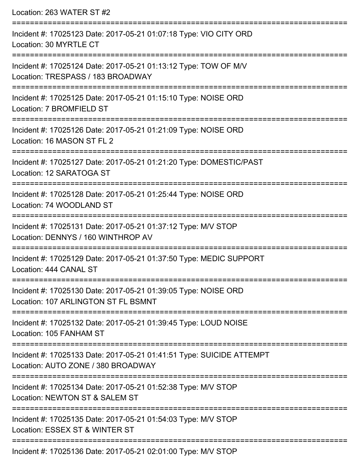| Location: 263 WATER ST #2                                                                                  |
|------------------------------------------------------------------------------------------------------------|
| Incident #: 17025123 Date: 2017-05-21 01:07:18 Type: VIO CITY ORD<br>Location: 30 MYRTLE CT                |
| Incident #: 17025124 Date: 2017-05-21 01:13:12 Type: TOW OF M/V<br>Location: TRESPASS / 183 BROADWAY       |
| Incident #: 17025125 Date: 2017-05-21 01:15:10 Type: NOISE ORD<br>Location: 7 BROMFIELD ST                 |
| Incident #: 17025126 Date: 2017-05-21 01:21:09 Type: NOISE ORD<br>Location: 16 MASON ST FL 2               |
| Incident #: 17025127 Date: 2017-05-21 01:21:20 Type: DOMESTIC/PAST<br>Location: 12 SARATOGA ST             |
| Incident #: 17025128 Date: 2017-05-21 01:25:44 Type: NOISE ORD<br>Location: 74 WOODLAND ST                 |
| Incident #: 17025131 Date: 2017-05-21 01:37:12 Type: M/V STOP<br>Location: DENNYS / 160 WINTHROP AV        |
| Incident #: 17025129 Date: 2017-05-21 01:37:50 Type: MEDIC SUPPORT<br>Location: 444 CANAL ST               |
| Incident #: 17025130 Date: 2017-05-21 01:39:05 Type: NOISE ORD<br>Location: 107 ARLINGTON ST FL BSMNT      |
| Incident #: 17025132 Date: 2017-05-21 01:39:45 Type: LOUD NOISE<br>Location: 105 FANHAM ST                 |
| Incident #: 17025133 Date: 2017-05-21 01:41:51 Type: SUICIDE ATTEMPT<br>Location: AUTO ZONE / 380 BROADWAY |
| Incident #: 17025134 Date: 2017-05-21 01:52:38 Type: M/V STOP<br>Location: NEWTON ST & SALEM ST            |
| Incident #: 17025135 Date: 2017-05-21 01:54:03 Type: M/V STOP<br>Location: ESSEX ST & WINTER ST            |
| Incident #: 17025136 Date: 2017-05-21 02:01:00 Type: M/V STOP                                              |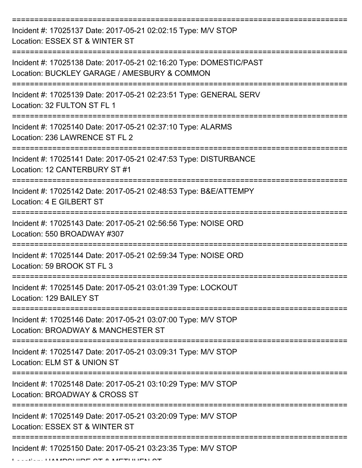| Incident #: 17025137 Date: 2017-05-21 02:02:15 Type: M/V STOP<br>Location: ESSEX ST & WINTER ST                    |
|--------------------------------------------------------------------------------------------------------------------|
| Incident #: 17025138 Date: 2017-05-21 02:16:20 Type: DOMESTIC/PAST<br>Location: BUCKLEY GARAGE / AMESBURY & COMMON |
| Incident #: 17025139 Date: 2017-05-21 02:23:51 Type: GENERAL SERV<br>Location: 32 FULTON ST FL 1                   |
| Incident #: 17025140 Date: 2017-05-21 02:37:10 Type: ALARMS<br>Location: 236 LAWRENCE ST FL 2                      |
| Incident #: 17025141 Date: 2017-05-21 02:47:53 Type: DISTURBANCE<br>Location: 12 CANTERBURY ST #1                  |
| Incident #: 17025142 Date: 2017-05-21 02:48:53 Type: B&E/ATTEMPY<br>Location: 4 E GILBERT ST                       |
| Incident #: 17025143 Date: 2017-05-21 02:56:56 Type: NOISE ORD<br>Location: 550 BROADWAY #307                      |
| Incident #: 17025144 Date: 2017-05-21 02:59:34 Type: NOISE ORD<br>Location: 59 BROOK ST FL 3                       |
| Incident #: 17025145 Date: 2017-05-21 03:01:39 Type: LOCKOUT<br>Location: 129 BAILEY ST                            |
| Incident #: 17025146 Date: 2017-05-21 03:07:00 Type: M/V STOP<br>Location: BROADWAY & MANCHESTER ST                |
| Incident #: 17025147 Date: 2017-05-21 03:09:31 Type: M/V STOP<br>Location: ELM ST & UNION ST                       |
| Incident #: 17025148 Date: 2017-05-21 03:10:29 Type: M/V STOP<br>Location: BROADWAY & CROSS ST                     |
| Incident #: 17025149 Date: 2017-05-21 03:20:09 Type: M/V STOP<br>Location: ESSEX ST & WINTER ST                    |
| Incident #: 17025150 Date: 2017-05-21 03:23:35 Type: M/V STOP                                                      |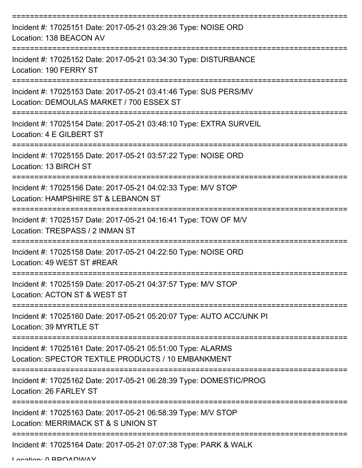| Incident #: 17025151 Date: 2017-05-21 03:29:36 Type: NOISE ORD<br>Location: 138 BEACON AV                         |
|-------------------------------------------------------------------------------------------------------------------|
| Incident #: 17025152 Date: 2017-05-21 03:34:30 Type: DISTURBANCE<br>Location: 190 FERRY ST                        |
| Incident #: 17025153 Date: 2017-05-21 03:41:46 Type: SUS PERS/MV<br>Location: DEMOULAS MARKET / 700 ESSEX ST      |
| Incident #: 17025154 Date: 2017-05-21 03:48:10 Type: EXTRA SURVEIL<br>Location: 4 E GILBERT ST                    |
| Incident #: 17025155 Date: 2017-05-21 03:57:22 Type: NOISE ORD<br>Location: 13 BIRCH ST                           |
| Incident #: 17025156 Date: 2017-05-21 04:02:33 Type: M/V STOP<br>Location: HAMPSHIRE ST & LEBANON ST              |
| Incident #: 17025157 Date: 2017-05-21 04:16:41 Type: TOW OF M/V<br>Location: TRESPASS / 2 INMAN ST                |
| Incident #: 17025158 Date: 2017-05-21 04:22:50 Type: NOISE ORD<br>Location: 49 WEST ST #REAR                      |
| Incident #: 17025159 Date: 2017-05-21 04:37:57 Type: M/V STOP<br>Location: ACTON ST & WEST ST                     |
| Incident #: 17025160 Date: 2017-05-21 05:20:07 Type: AUTO ACC/UNK PI<br>Location: 39 MYRTLE ST                    |
| Incident #: 17025161 Date: 2017-05-21 05:51:00 Type: ALARMS<br>Location: SPECTOR TEXTILE PRODUCTS / 10 EMBANKMENT |
| Incident #: 17025162 Date: 2017-05-21 06:28:39 Type: DOMESTIC/PROG<br>Location: 26 FARLEY ST                      |
| Incident #: 17025163 Date: 2017-05-21 06:58:39 Type: M/V STOP<br>Location: MERRIMACK ST & S UNION ST              |
| Incident #: 17025164 Date: 2017-05-21 07:07:38 Type: PARK & WALK                                                  |

Location: 0 BROADWAY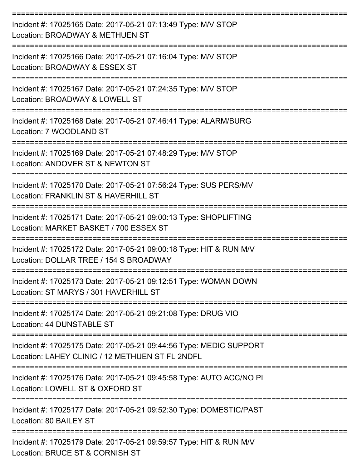| Incident #: 17025165 Date: 2017-05-21 07:13:49 Type: M/V STOP<br>Location: BROADWAY & METHUEN ST                      |
|-----------------------------------------------------------------------------------------------------------------------|
| Incident #: 17025166 Date: 2017-05-21 07:16:04 Type: M/V STOP<br>Location: BROADWAY & ESSEX ST                        |
| Incident #: 17025167 Date: 2017-05-21 07:24:35 Type: M/V STOP<br>Location: BROADWAY & LOWELL ST                       |
| Incident #: 17025168 Date: 2017-05-21 07:46:41 Type: ALARM/BURG<br>Location: 7 WOODLAND ST                            |
| Incident #: 17025169 Date: 2017-05-21 07:48:29 Type: M/V STOP<br>Location: ANDOVER ST & NEWTON ST                     |
| Incident #: 17025170 Date: 2017-05-21 07:56:24 Type: SUS PERS/MV<br>Location: FRANKLIN ST & HAVERHILL ST              |
| Incident #: 17025171 Date: 2017-05-21 09:00:13 Type: SHOPLIFTING<br>Location: MARKET BASKET / 700 ESSEX ST            |
| Incident #: 17025172 Date: 2017-05-21 09:00:18 Type: HIT & RUN M/V<br>Location: DOLLAR TREE / 154 S BROADWAY          |
| Incident #: 17025173 Date: 2017-05-21 09:12:51 Type: WOMAN DOWN<br>Location: ST MARYS / 301 HAVERHILL ST              |
| Incident #: 17025174 Date: 2017-05-21 09:21:08 Type: DRUG VIO<br>Location: 44 DUNSTABLE ST                            |
| Incident #: 17025175 Date: 2017-05-21 09:44:56 Type: MEDIC SUPPORT<br>Location: LAHEY CLINIC / 12 METHUEN ST FL 2NDFL |
| Incident #: 17025176 Date: 2017-05-21 09:45:58 Type: AUTO ACC/NO PI<br>Location: LOWELL ST & OXFORD ST                |
| Incident #: 17025177 Date: 2017-05-21 09:52:30 Type: DOMESTIC/PAST<br>Location: 80 BAILEY ST                          |
| Incident #: 17025179 Date: 2017-05-21 09:59:57 Type: HIT & RUN M/V<br>Location: BRUCE ST & CORNISH ST                 |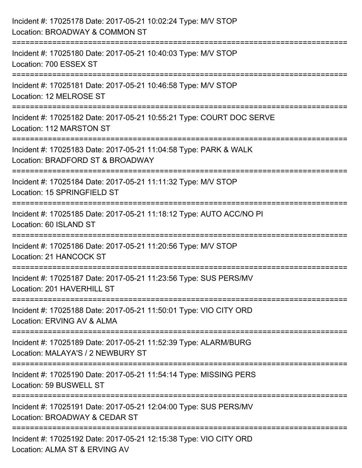| Incident #: 17025178 Date: 2017-05-21 10:02:24 Type: M/V STOP<br>Location: BROADWAY & COMMON ST                        |
|------------------------------------------------------------------------------------------------------------------------|
| :==========================<br>Incident #: 17025180 Date: 2017-05-21 10:40:03 Type: M/V STOP<br>Location: 700 ESSEX ST |
| Incident #: 17025181 Date: 2017-05-21 10:46:58 Type: M/V STOP<br>Location: 12 MELROSE ST                               |
| Incident #: 17025182 Date: 2017-05-21 10:55:21 Type: COURT DOC SERVE<br>Location: 112 MARSTON ST                       |
| Incident #: 17025183 Date: 2017-05-21 11:04:58 Type: PARK & WALK<br>Location: BRADFORD ST & BROADWAY                   |
| Incident #: 17025184 Date: 2017-05-21 11:11:32 Type: M/V STOP<br>Location: 15 SPRINGFIELD ST                           |
| Incident #: 17025185 Date: 2017-05-21 11:18:12 Type: AUTO ACC/NO PI<br>Location: 60 ISLAND ST                          |
| Incident #: 17025186 Date: 2017-05-21 11:20:56 Type: M/V STOP<br>Location: 21 HANCOCK ST                               |
| Incident #: 17025187 Date: 2017-05-21 11:23:56 Type: SUS PERS/MV<br>Location: 201 HAVERHILL ST                         |
| Incident #: 17025188 Date: 2017-05-21 11:50:01 Type: VIO CITY ORD<br>Location: ERVING AV & ALMA                        |
| Incident #: 17025189 Date: 2017-05-21 11:52:39 Type: ALARM/BURG<br>Location: MALAYA'S / 2 NEWBURY ST                   |
| Incident #: 17025190 Date: 2017-05-21 11:54:14 Type: MISSING PERS<br>Location: 59 BUSWELL ST                           |
| Incident #: 17025191 Date: 2017-05-21 12:04:00 Type: SUS PERS/MV<br>Location: BROADWAY & CEDAR ST                      |
| Incident #: 17025192 Date: 2017-05-21 12:15:38 Type: VIO CITY ORD<br>Location: ALMA ST & ERVING AV                     |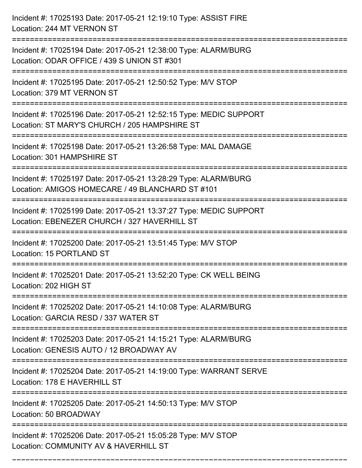Incident #: 17025193 Date: 2017-05-21 12:19:10 Type: ASSIST FIRE Location: 244 MT VERNON ST =========================================================================== Incident #: 17025194 Date: 2017-05-21 12:38:00 Type: ALARM/BURG Location: ODAR OFFICE / 439 S UNION ST #301 =========================================================================== Incident #: 17025195 Date: 2017-05-21 12:50:52 Type: M/V STOP Location: 379 MT VERNON ST =========================================================================== Incident #: 17025196 Date: 2017-05-21 12:52:15 Type: MEDIC SUPPORT Location: ST MARY'S CHURCH / 205 HAMPSHIRE ST =========================================================================== Incident #: 17025198 Date: 2017-05-21 13:26:58 Type: MAL DAMAGE Location: 301 HAMPSHIRE ST =========================================================================== Incident #: 17025197 Date: 2017-05-21 13:28:29 Type: ALARM/BURG Location: AMIGOS HOMECARE / 49 BLANCHARD ST #101 =========================================================================== Incident #: 17025199 Date: 2017-05-21 13:37:27 Type: MEDIC SUPPORT Location: EBENEZER CHURCH / 327 HAVERHILL ST =========================================================================== Incident #: 17025200 Date: 2017-05-21 13:51:45 Type: M/V STOP Location: 15 PORTLAND ST =========================================================================== Incident #: 17025201 Date: 2017-05-21 13:52:20 Type: CK WELL BEING Location: 202 HIGH ST =========================================================================== Incident #: 17025202 Date: 2017-05-21 14:10:08 Type: ALARM/BURG Location: GARCIA RESD / 337 WATER ST =========================================================================== Incident #: 17025203 Date: 2017-05-21 14:15:21 Type: ALARM/BURG Location: GENESIS AUTO / 12 BROADWAY AV =========================================================================== Incident #: 17025204 Date: 2017-05-21 14:19:00 Type: WARRANT SERVE Location: 178 E HAVERHILL ST =========================================================================== Incident #: 17025205 Date: 2017-05-21 14:50:13 Type: M/V STOP Location: 50 BROADWAY =========================================================================== Incident #: 17025206 Date: 2017-05-21 15:05:28 Type: M/V STOP Location: COMMUNITY AV & HAVERHILL ST

===========================================================================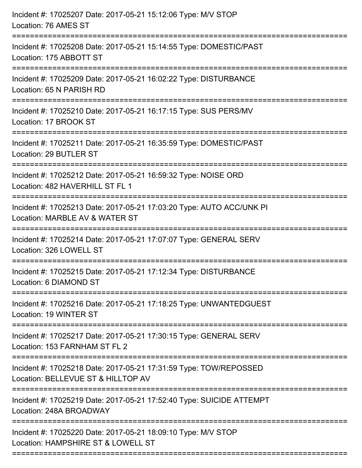| Incident #: 17025207 Date: 2017-05-21 15:12:06 Type: M/V STOP<br>Location: 76 AMES ST                                            |
|----------------------------------------------------------------------------------------------------------------------------------|
| Incident #: 17025208 Date: 2017-05-21 15:14:55 Type: DOMESTIC/PAST<br>Location: 175 ABBOTT ST                                    |
| Incident #: 17025209 Date: 2017-05-21 16:02:22 Type: DISTURBANCE<br>Location: 65 N PARISH RD<br>================================ |
| Incident #: 17025210 Date: 2017-05-21 16:17:15 Type: SUS PERS/MV<br>Location: 17 BROOK ST                                        |
| Incident #: 17025211 Date: 2017-05-21 16:35:59 Type: DOMESTIC/PAST<br>Location: 29 BUTLER ST                                     |
| Incident #: 17025212 Date: 2017-05-21 16:59:32 Type: NOISE ORD<br>Location: 482 HAVERHILL ST FL 1                                |
| Incident #: 17025213 Date: 2017-05-21 17:03:20 Type: AUTO ACC/UNK PI<br>Location: MARBLE AV & WATER ST                           |
| Incident #: 17025214 Date: 2017-05-21 17:07:07 Type: GENERAL SERV<br>Location: 326 LOWELL ST                                     |
| Incident #: 17025215 Date: 2017-05-21 17:12:34 Type: DISTURBANCE<br>Location: 6 DIAMOND ST                                       |
| Incident #: 17025216 Date: 2017-05-21 17:18:25 Type: UNWANTEDGUEST<br>Location: 19 WINTER ST                                     |
| Incident #: 17025217 Date: 2017-05-21 17:30:15 Type: GENERAL SERV<br>Location: 153 FARNHAM ST FL 2                               |
| Incident #: 17025218 Date: 2017-05-21 17:31:59 Type: TOW/REPOSSED<br>Location: BELLEVUE ST & HILLTOP AV                          |
| Incident #: 17025219 Date: 2017-05-21 17:52:40 Type: SUICIDE ATTEMPT<br>Location: 248A BROADWAY                                  |
| Incident #: 17025220 Date: 2017-05-21 18:09:10 Type: M/V STOP<br>Location: HAMPSHIRE ST & LOWELL ST                              |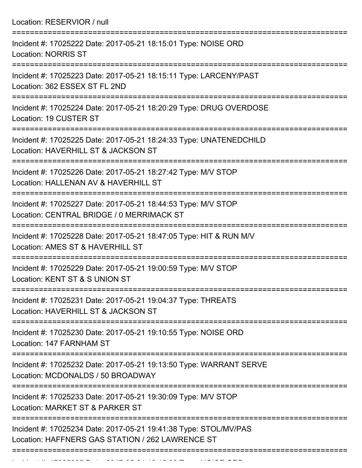Location: RESERVIOR / null =========================================================================== Incident #: 17025222 Date: 2017-05-21 18:15:01 Type: NOISE ORD Location: NORRIS ST =========================================================================== Incident #: 17025223 Date: 2017-05-21 18:15:11 Type: LARCENY/PAST Location: 362 ESSEX ST FL 2ND =========================================================================== Incident #: 17025224 Date: 2017-05-21 18:20:29 Type: DRUG OVERDOSE Location: 19 CUSTER ST =========================================================================== Incident #: 17025225 Date: 2017-05-21 18:24:33 Type: UNATENEDCHILD Location: HAVERHILL ST & JACKSON ST =========================================================================== Incident #: 17025226 Date: 2017-05-21 18:27:42 Type: M/V STOP Location: HALLENAN AV & HAVERHILL ST =========================================================================== Incident #: 17025227 Date: 2017-05-21 18:44:53 Type: M/V STOP Location: CENTRAL BRIDGE / 0 MERRIMACK ST =========================================================================== Incident #: 17025228 Date: 2017-05-21 18:47:05 Type: HIT & RUN M/V Location: AMES ST & HAVERHILL ST =========================================================================== Incident #: 17025229 Date: 2017-05-21 19:00:59 Type: M/V STOP Location: KENT ST & S UNION ST =========================================================================== Incident #: 17025231 Date: 2017-05-21 19:04:37 Type: THREATS Location: HAVERHILL ST & JACKSON ST =========================================================================== Incident #: 17025230 Date: 2017-05-21 19:10:55 Type: NOISE ORD Location: 147 FARNHAM ST =========================================================================== Incident #: 17025232 Date: 2017-05-21 19:13:50 Type: WARRANT SERVE Location: MCDONALDS / 50 BROADWAY =========================================================================== Incident #: 17025233 Date: 2017-05-21 19:30:09 Type: M/V STOP Location: MARKET ST & PARKER ST =========================================================================== Incident #: 17025234 Date: 2017-05-21 19:41:38 Type: STOL/MV/PAS Location: HAFFNERS GAS STATION / 262 LAWRENCE ST ===========================================================================

Incident #: 17025235 Date: 2017 05 21 19:45:30 Type: NOISE ORD.<br>.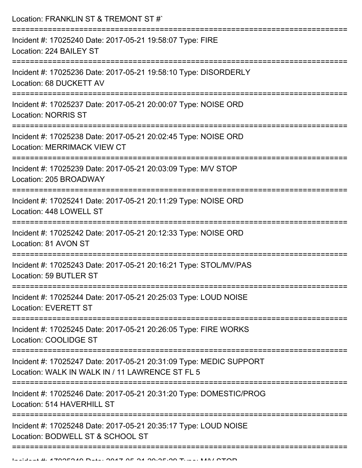| Location: FRANKLIN ST & TREMONT ST #`                                                                                        |
|------------------------------------------------------------------------------------------------------------------------------|
| Incident #: 17025240 Date: 2017-05-21 19:58:07 Type: FIRE<br>Location: 224 BAILEY ST                                         |
| Incident #: 17025236 Date: 2017-05-21 19:58:10 Type: DISORDERLY<br>Location: 68 DUCKETT AV                                   |
| Incident #: 17025237 Date: 2017-05-21 20:00:07 Type: NOISE ORD<br><b>Location: NORRIS ST</b><br>---------------------------  |
| Incident #: 17025238 Date: 2017-05-21 20:02:45 Type: NOISE ORD<br><b>Location: MERRIMACK VIEW CT</b>                         |
| Incident #: 17025239 Date: 2017-05-21 20:03:09 Type: M/V STOP<br>Location: 205 BROADWAY<br>;================================ |
| Incident #: 17025241 Date: 2017-05-21 20:11:29 Type: NOISE ORD<br>Location: 448 LOWELL ST                                    |
| Incident #: 17025242 Date: 2017-05-21 20:12:33 Type: NOISE ORD<br>Location: 81 AVON ST<br>=============================      |
| Incident #: 17025243 Date: 2017-05-21 20:16:21 Type: STOL/MV/PAS<br>Location: 59 BUTLER ST                                   |
| Incident #: 17025244 Date: 2017-05-21 20:25:03 Type: LOUD NOISE<br><b>Location: EVERETT ST</b>                               |
| Incident #: 17025245 Date: 2017-05-21 20:26:05 Type: FIRE WORKS<br>Location: COOLIDGE ST                                     |
| Incident #: 17025247 Date: 2017-05-21 20:31:09 Type: MEDIC SUPPORT<br>Location: WALK IN WALK IN / 11 LAWRENCE ST FL 5        |
| Incident #: 17025246 Date: 2017-05-21 20:31:20 Type: DOMESTIC/PROG<br>Location: 514 HAVERHILL ST                             |
| Incident #: 17025248 Date: 2017-05-21 20:35:17 Type: LOUD NOISE<br>Location: BODWELL ST & SCHOOL ST                          |
|                                                                                                                              |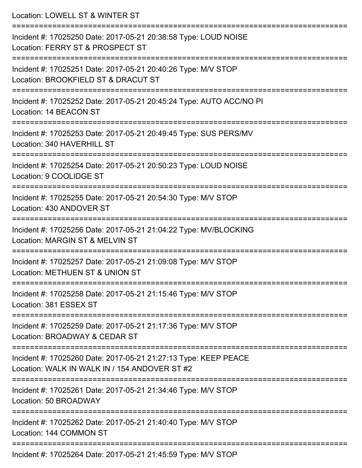| Location: LOWELL ST & WINTER ST                                                                                  |
|------------------------------------------------------------------------------------------------------------------|
| Incident #: 17025250 Date: 2017-05-21 20:38:58 Type: LOUD NOISE<br>Location: FERRY ST & PROSPECT ST              |
| Incident #: 17025251 Date: 2017-05-21 20:40:26 Type: M/V STOP<br>Location: BROOKFIELD ST & DRACUT ST             |
| Incident #: 17025252 Date: 2017-05-21 20:45:24 Type: AUTO ACC/NO PI<br>Location: 14 BEACON ST                    |
| Incident #: 17025253 Date: 2017-05-21 20:49:45 Type: SUS PERS/MV<br>Location: 340 HAVERHILL ST                   |
| Incident #: 17025254 Date: 2017-05-21 20:50:23 Type: LOUD NOISE<br>Location: 9 COOLIDGE ST                       |
| Incident #: 17025255 Date: 2017-05-21 20:54:30 Type: M/V STOP<br>Location: 430 ANDOVER ST                        |
| Incident #: 17025256 Date: 2017-05-21 21:04:22 Type: MV/BLOCKING<br>Location: MARGIN ST & MELVIN ST              |
| Incident #: 17025257 Date: 2017-05-21 21:09:08 Type: M/V STOP<br>Location: METHUEN ST & UNION ST                 |
| Incident #: 17025258 Date: 2017-05-21 21:15:46 Type: M/V STOP<br>Location: 381 ESSEX ST                          |
| Incident #: 17025259 Date: 2017-05-21 21:17:36 Type: M/V STOP<br>Location: BROADWAY & CEDAR ST                   |
| Incident #: 17025260 Date: 2017-05-21 21:27:13 Type: KEEP PEACE<br>Location: WALK IN WALK IN / 154 ANDOVER ST #2 |
| Incident #: 17025261 Date: 2017-05-21 21:34:46 Type: M/V STOP<br>Location: 50 BROADWAY                           |
| Incident #: 17025262 Date: 2017-05-21 21:40:40 Type: M/V STOP<br>Location: 144 COMMON ST                         |
| Incident #: 17025264 Date: 2017-05-21 21:45:59 Type: M/V STOP                                                    |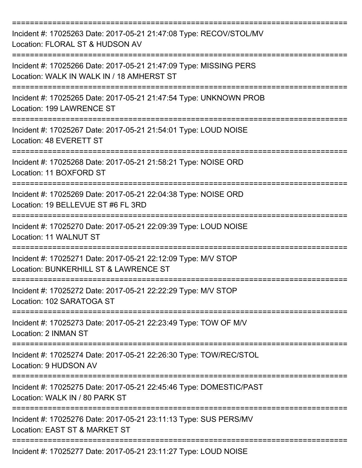| Incident #: 17025263 Date: 2017-05-21 21:47:08 Type: RECOV/STOL/MV<br>Location: FLORAL ST & HUDSON AV                              |
|------------------------------------------------------------------------------------------------------------------------------------|
| Incident #: 17025266 Date: 2017-05-21 21:47:09 Type: MISSING PERS<br>Location: WALK IN WALK IN / 18 AMHERST ST                     |
| Incident #: 17025265 Date: 2017-05-21 21:47:54 Type: UNKNOWN PROB<br>Location: 199 LAWRENCE ST                                     |
| Incident #: 17025267 Date: 2017-05-21 21:54:01 Type: LOUD NOISE<br>Location: 48 EVERETT ST                                         |
| Incident #: 17025268 Date: 2017-05-21 21:58:21 Type: NOISE ORD<br>Location: 11 BOXFORD ST                                          |
| Incident #: 17025269 Date: 2017-05-21 22:04:38 Type: NOISE ORD<br>Location: 19 BELLEVUE ST #6 FL 3RD                               |
| Incident #: 17025270 Date: 2017-05-21 22:09:39 Type: LOUD NOISE<br>Location: 11 WALNUT ST                                          |
| Incident #: 17025271 Date: 2017-05-21 22:12:09 Type: M/V STOP<br>Location: BUNKERHILL ST & LAWRENCE ST<br>:======================= |
| Incident #: 17025272 Date: 2017-05-21 22:22:29 Type: M/V STOP<br>Location: 102 SARATOGA ST                                         |
| Incident #: 17025273 Date: 2017-05-21 22:23:49 Type: TOW OF M/V<br>Location: 2 INMAN ST                                            |
| Incident #: 17025274 Date: 2017-05-21 22:26:30 Type: TOW/REC/STOL<br>Location: 9 HUDSON AV                                         |
| Incident #: 17025275 Date: 2017-05-21 22:45:46 Type: DOMESTIC/PAST<br>Location: WALK IN / 80 PARK ST                               |
| Incident #: 17025276 Date: 2017-05-21 23:11:13 Type: SUS PERS/MV<br>Location: EAST ST & MARKET ST                                  |
| Incident #: 17025277 Date: 2017-05-21 23:11:27 Type: LOUD NOISE                                                                    |